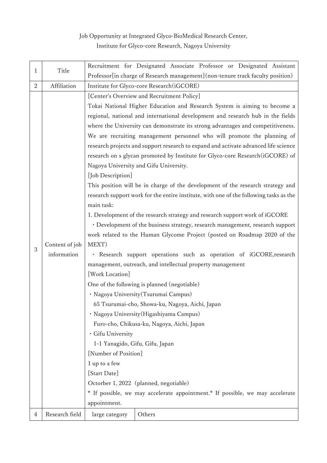## Job Opportunity at Integrated Glyco-BioMedical Research Center, Institute for Glyco-core Research, Nagoya University

|                | Title          | Recruitment for Designated Associate Professor or Designated Assistant                 |  |  |
|----------------|----------------|----------------------------------------------------------------------------------------|--|--|
| $\mathbf{1}$   |                | Professor[in charge of Research management] (non-tenure track faculty position)        |  |  |
| $\overline{2}$ | Affiliation    | Institute for Glyco-core Research (iGCORE)                                             |  |  |
|                |                | [Center's Overview and Recruitment Policy]                                             |  |  |
|                |                | Tokai National Higher Education and Research System is aiming to become a              |  |  |
|                |                | regional, national and international development and research hub in the fields        |  |  |
|                |                | where the University can demonstrate its strong advantages and competitiveness.        |  |  |
|                |                | We are recruiting management personnel who will promote the planning of                |  |  |
|                |                | research projects and support research to expand and activate advanced life science    |  |  |
|                |                | research on s glycan promoted by Institute for Glyco-core Research (iGCORE) of         |  |  |
|                |                | Nagoya University and Gifu University.                                                 |  |  |
|                |                | [Job Description]                                                                      |  |  |
|                |                | This position will be in charge of the development of the research strategy and        |  |  |
|                |                | research support work for the entire institute, with one of the following tasks as the |  |  |
|                |                | main task:                                                                             |  |  |
|                |                | 1. Development of the research strategy and research support work of iGCORE            |  |  |
|                |                | · Development of the business strategy, research management, research support          |  |  |
|                | Content of job | work related to the Human Glycome Project (posted on Roadmap 2020 of the               |  |  |
| 3              |                | MEXT)                                                                                  |  |  |
|                | information    | · Research support operations such as operation of iGCORE, research                    |  |  |
|                |                | management, outreach, and intellectual property management                             |  |  |
|                |                | [Work Location]                                                                        |  |  |
|                |                | One of the following is planned (negotiable)                                           |  |  |
|                |                | · Nagoya University (Tsurumai Campus)                                                  |  |  |
|                |                | 65 Tsurumai-cho, Showa-ku, Nagoya, Aichi, Japan                                        |  |  |
|                |                | · Nagoya University (Higashiyama Campus)                                               |  |  |
|                |                | Furo-cho, Chikusa-ku, Nagoya, Aichi, Japan                                             |  |  |
|                |                | · Gifu University                                                                      |  |  |
|                |                | 1-1 Yanagido, Gifu, Gifu, Japan                                                        |  |  |
|                |                | [Number of Position]                                                                   |  |  |
|                |                | 1 up to a few                                                                          |  |  |
|                |                | [Start Date]                                                                           |  |  |
|                |                | Octorber 1, 2022 (planned, negotiable)                                                 |  |  |
|                |                | * If possible, we may accelerate appointment.* If possible, we may accelerate          |  |  |
|                |                | appointment.                                                                           |  |  |
| 4              | Research field | Others<br>large category                                                               |  |  |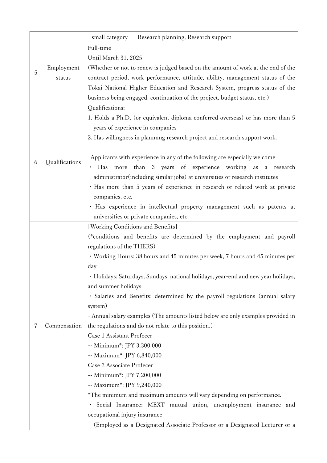|   |                | small category                    | Research planning, Research support                                                |
|---|----------------|-----------------------------------|------------------------------------------------------------------------------------|
|   |                | Full-time                         |                                                                                    |
|   |                | Until March 31, 2025              |                                                                                    |
|   | Employment     |                                   | (Whether or not to renew is judged based on the amount of work at the end of the   |
| 5 | status         |                                   | contract period, work performance, attitude, ability, management status of the     |
|   |                |                                   | Tokai National Higher Education and Research System, progress status of the        |
|   |                |                                   | business being engaged, continuation of the project, budget status, etc.)          |
|   |                | Qualifications:                   |                                                                                    |
|   |                |                                   | 1. Holds a Ph.D. (or equivalent diploma conferred overseas) or has more than 5     |
|   |                |                                   | years of experience in companies                                                   |
|   |                |                                   | 2. Has willingness in plannnng research project and research support work.         |
|   |                |                                   |                                                                                    |
|   |                |                                   | Applicants with experience in any of the following are especially welcome          |
| 6 | Qualifications |                                   | · Has more than 3 years of experience working as a research                        |
|   |                |                                   | administrator(including similar jobs) at universities or research institutes       |
|   |                |                                   | · Has more than 5 years of experience in research or related work at private       |
|   |                | companies, etc.                   |                                                                                    |
|   |                |                                   | · Has experience in intellectual property management such as patents at            |
|   |                |                                   | universities or private companies, etc.                                            |
|   |                | [Working Conditions and Benefits] |                                                                                    |
|   |                |                                   | (*conditions and benefits are determined by the employment and payroll             |
|   | Compensation   | regulations of the THERS)         |                                                                                    |
|   |                |                                   | · Working Hours: 38 hours and 45 minutes per week, 7 hours and 45 minutes per      |
|   |                | day                               |                                                                                    |
|   |                |                                   | · Holidays: Saturdays, Sundays, national holidays, year-end and new year holidays, |
|   |                | and summer holidays               |                                                                                    |
|   |                |                                   | · Salaries and Benefits: determined by the payroll regulations (annual salary      |
|   |                | system)                           |                                                                                    |
|   |                |                                   | - Annual salary examples (The amounts listed below are only examples provided in   |
| 7 |                |                                   | the regulations and do not relate to this position.)                               |
|   |                | Case 1 Assistant Profecer         |                                                                                    |
|   |                | -- Minimum*: JPY 3,300,000        |                                                                                    |
|   |                | -- Maximum*: JPY 6,840,000        |                                                                                    |
|   |                | Case 2 Associate Profecer         |                                                                                    |
|   |                | -- Minimum*: JPY 7,200,000        |                                                                                    |
|   |                | -- Maximum*: JPY 9,240,000        |                                                                                    |
|   |                |                                   | *The minimum and maximum amounts will vary depending on performance.               |
|   |                | $\bullet$                         | Social Insurance: MEXT mutual union, unemployment insurance and                    |
|   |                | occupational injury insurance     |                                                                                    |
|   |                |                                   | (Employed as a Designated Associate Professor or a Designated Lecturer or a        |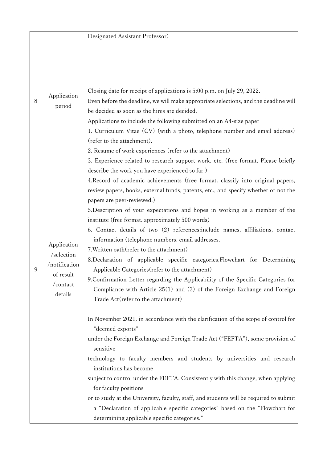|   |                                | Designated Assistant Professor)                                                        |
|---|--------------------------------|----------------------------------------------------------------------------------------|
|   |                                |                                                                                        |
|   |                                |                                                                                        |
|   |                                |                                                                                        |
|   |                                |                                                                                        |
|   |                                |                                                                                        |
|   | Application<br>period          | Closing date for receipt of applications is 5:00 p.m. on July 29, 2022.                |
| 8 |                                | Even before the deadline, we will make appropriate selections, and the deadline will   |
|   |                                | be decided as soon as the hires are decided.                                           |
|   |                                | Applications to include the following submitted on an A4-size paper                    |
|   |                                | 1. Curriculum Vitae (CV) (with a photo, telephone number and email address)            |
|   |                                | (refer to the attachment).                                                             |
|   |                                | 2. Resume of work experiences (refer to the attachment)                                |
|   |                                | 3. Experience related to research support work, etc. (free format. Please briefly      |
|   |                                | describe the work you have experienced so far.)                                        |
|   |                                | 4. Record of academic achievements (free format. classify into original papers,        |
|   |                                | review papers, books, external funds, patents, etc., and specify whether or not the    |
|   |                                | papers are peer-reviewed.)                                                             |
|   |                                | 5. Description of your expectations and hopes in working as a member of the            |
|   |                                | institute (free format. approximately 500 words)                                       |
|   |                                | 6. Contact details of two (2) references: include names, affiliations, contact         |
|   |                                | information (telephone numbers, email addresses.                                       |
|   | Application                    | 7. Written oath (refer to the attachment)                                              |
|   | $/s$ election<br>/notification | 8. Declaration of applicable specific categories, Flowchart for Determining            |
| 9 |                                | Applicable Categories (refer to the attachment)                                        |
|   | of result                      |                                                                                        |
|   | /contact<br>details            | 9. Confirmation Letter regarding the Applicability of the Specific Categories for      |
|   |                                | Compliance with Article 25(1) and (2) of the Foreign Exchange and Foreign              |
|   |                                | Trade Act (refer to the attachment)                                                    |
|   |                                |                                                                                        |
|   |                                | In November 2021, in accordance with the clarification of the scope of control for     |
|   |                                | "deemed exports"                                                                       |
|   |                                | under the Foreign Exchange and Foreign Trade Act ("FEFTA"), some provision of          |
|   |                                | sensitive                                                                              |
|   |                                | technology to faculty members and students by universities and research                |
|   |                                | institutions has become                                                                |
|   |                                | subject to control under the FEFTA. Consistently with this change, when applying       |
|   |                                | for faculty positions                                                                  |
|   |                                | or to study at the University, faculty, staff, and students will be required to submit |
|   |                                | a "Declaration of applicable specific categories" based on the "Flowchart for          |
|   |                                | determining applicable specific categories."                                           |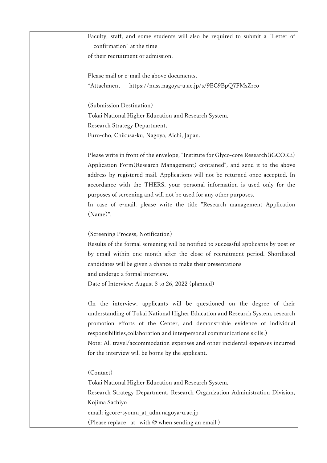| Faculty, staff, and some students will also be required to submit a "Letter of       |
|--------------------------------------------------------------------------------------|
| confirmation" at the time                                                            |
| of their recruitment or admission.                                                   |
|                                                                                      |
| Please mail or e-mail the above documents.                                           |
| *Attachment<br>https://nuss.nagoya-u.ac.jp/s/9EC9BpQ7FMsZrco                         |
|                                                                                      |
| (Submission Destination)                                                             |
| Tokai National Higher Education and Research System,                                 |
| Research Strategy Department,                                                        |
| Furo-cho, Chikusa-ku, Nagoya, Aichi, Japan.                                          |
|                                                                                      |
| Please write in front of the envelope, "Institute for Glyco-core Research (iGCORE)   |
| Application Form(Research Management) contained", and send it to the above           |
| address by registered mail. Applications will not be returned once accepted. In      |
| accordance with the THERS, your personal information is used only for the            |
| purposes of screening and will not be used for any other purposes.                   |
| In case of e-mail, please write the title "Research management Application           |
| (Name)".                                                                             |
|                                                                                      |
| (Screening Process, Notification)                                                    |
| Results of the formal screening will be notified to successful applicants by post or |
| by email within one month after the close of recruitment period. Shortlisted         |
| candidates will be given a chance to make their presentations                        |
| and undergo a formal interview.                                                      |
| Date of Interview: August 8 to 26, 2022 (planned)                                    |
|                                                                                      |
| (In the interview, applicants will be questioned on the degree of their              |
| understanding of Tokai National Higher Education and Research System, research       |
| promotion efforts of the Center, and demonstrable evidence of individual             |
| responsibilities, collaboration and interpersonal communications skills.)            |
| Note: All travel/accommodation expenses and other incidental expenses incurred       |
| for the interview will be borne by the applicant.                                    |
|                                                                                      |
| (Contact)                                                                            |
| Tokai National Higher Education and Research System,                                 |
| Research Strategy Department, Research Organization Administration Division,         |
| Kojima Sachiyo                                                                       |
| email: igcore-syomu_at_adm.nagoya-u.ac.jp                                            |
| (Please replace $_{at}$ with $\omega$ when sending an email.)                        |